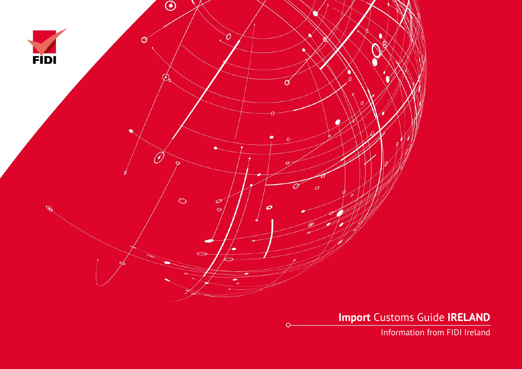

**Import** Customs Guide **IRELAND**

Information from FIDI Ireland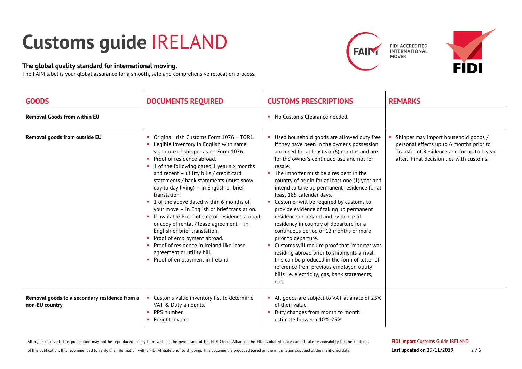## **Customs guide** IRELAND

## **The global quality standard for international moving.**

The FAIM label is your global assurance for a smooth, safe and comprehensive relocation process.





| <b>GOODS</b>                                                    | <b>DOCUMENTS REQUIRED</b>                                                                                                                                                                                                                                                                                                                                                                                                                                                                                                                                                                                                                                                                                                        | <b>CUSTOMS PRESCRIPTIONS</b>                                                                                                                                                                                                                                                                                                                                                                                                                                                                                                                                                                                                                                                                                                                                                                                                                                               | <b>REMARKS</b>                                                                                                                                                             |
|-----------------------------------------------------------------|----------------------------------------------------------------------------------------------------------------------------------------------------------------------------------------------------------------------------------------------------------------------------------------------------------------------------------------------------------------------------------------------------------------------------------------------------------------------------------------------------------------------------------------------------------------------------------------------------------------------------------------------------------------------------------------------------------------------------------|----------------------------------------------------------------------------------------------------------------------------------------------------------------------------------------------------------------------------------------------------------------------------------------------------------------------------------------------------------------------------------------------------------------------------------------------------------------------------------------------------------------------------------------------------------------------------------------------------------------------------------------------------------------------------------------------------------------------------------------------------------------------------------------------------------------------------------------------------------------------------|----------------------------------------------------------------------------------------------------------------------------------------------------------------------------|
| <b>Removal Goods from within EU</b>                             |                                                                                                                                                                                                                                                                                                                                                                                                                                                                                                                                                                                                                                                                                                                                  | • No Customs Clearance needed.                                                                                                                                                                                                                                                                                                                                                                                                                                                                                                                                                                                                                                                                                                                                                                                                                                             |                                                                                                                                                                            |
| Removal goods from outside EU                                   | Original Irish Customs Form 1076 + TOR1.<br>Legible inventory in English with same<br>signature of shipper as on Form 1076.<br>Proof of residence abroad.<br>1 of the following dated 1 year six months<br>and recent - utility bills / credit card<br>statements / bank statements (must show<br>day to day living) - in English or brief<br>translation.<br>1 of the above dated within 6 months of<br>your move - in English or brief translation.<br>If available Proof of sale of residence abroad<br>or copy of rental / lease agreement - in<br>English or brief translation.<br>Proof of employment abroad.<br>Proof of residence in Ireland like lease<br>agreement or utility bill.<br>Proof of employment in Ireland. | Used household goods are allowed duty free<br>if they have been in the owner's possession<br>and used for at least six (6) months and are<br>for the owner's continued use and not for<br>resale.<br>The importer must be a resident in the<br>country of origin for at least one (1) year and<br>intend to take up permanent residence for at<br>least 185 calendar days.<br>Customer will be required by customs to<br>provide evidence of taking up permanent<br>residence in Ireland and evidence of<br>residency in country of departure for a<br>continuous period of 12 months or more<br>prior to departure.<br>Customs will require proof that importer was<br>residing abroad prior to shipments arrival,<br>this can be produced in the form of letter of<br>reference from previous employer, utility<br>bills i.e. electricity, gas, bank statements,<br>etc. | Shipper may import household goods /<br>personal effects up to 6 months prior to<br>Transfer of Residence and for up to 1 year<br>after. Final decision lies with customs. |
| Removal goods to a secondary residence from a<br>non-EU country | Customs value inventory list to determine<br>VAT & Duty amounts.<br>PPS number.<br>Freight invoice                                                                                                                                                                                                                                                                                                                                                                                                                                                                                                                                                                                                                               | All goods are subject to VAT at a rate of 23%<br>of their value.<br>Duty changes from month to month<br>estimate between 10%-25%.                                                                                                                                                                                                                                                                                                                                                                                                                                                                                                                                                                                                                                                                                                                                          |                                                                                                                                                                            |

All rights reserved. This publication may not be reproduced in any form without the permission of the FIDI Global Alliance. The FIDI Global Alliance cannot take responsibility for the contents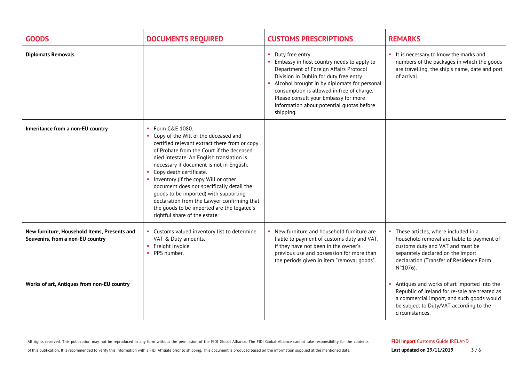| <b>GOODS</b>                                                                     | <b>DOCUMENTS REQUIRED</b>                                                                                                                                                                                                                                                                                                                                                                                                                                                                                                                    | <b>CUSTOMS PRESCRIPTIONS</b>                                                                                                                                                                                                                                                                                                                       | <b>REMARKS</b>                                                                                                                                                                                                         |
|----------------------------------------------------------------------------------|----------------------------------------------------------------------------------------------------------------------------------------------------------------------------------------------------------------------------------------------------------------------------------------------------------------------------------------------------------------------------------------------------------------------------------------------------------------------------------------------------------------------------------------------|----------------------------------------------------------------------------------------------------------------------------------------------------------------------------------------------------------------------------------------------------------------------------------------------------------------------------------------------------|------------------------------------------------------------------------------------------------------------------------------------------------------------------------------------------------------------------------|
| <b>Diplomats Removals</b>                                                        |                                                                                                                                                                                                                                                                                                                                                                                                                                                                                                                                              | • Duty free entry.<br>Embassy in host country needs to apply to<br>Department of Foreign Affairs Protocol<br>Division in Dublin for duty free entry<br>Alcohol brought in by diplomats for personal<br>consumption is allowed in free of charge.<br>Please consult your Embassy for more<br>information about potential quotas before<br>shipping. | • It is necessary to know the marks and<br>numbers of the packages in which the goods<br>are travelling, the ship's name, date and port<br>of arrival.                                                                 |
| Inheritance from a non-EU country                                                | • Form C&E 1080.<br>• Copy of the Will of the deceased and<br>certified relevant extract there from or copy<br>of Probate from the Court if the deceased<br>died intestate. An English translation is<br>necessary if document is not in English.<br>• Copy death certificate.<br>• Inventory (if the copy Will or other<br>document does not specifically detail the<br>goods to be imported) with supporting<br>declaration from the Lawyer confirming that<br>the goods to be imported are the legatee's<br>rightful share of the estate. |                                                                                                                                                                                                                                                                                                                                                    |                                                                                                                                                                                                                        |
| New furniture, Household Items, Presents and<br>Souvenirs, from a non-EU country | • Customs valued inventory list to determine<br>VAT & Duty amounts.<br>• Freight Invoice<br>• PPS number.                                                                                                                                                                                                                                                                                                                                                                                                                                    | New furniture and household furniture are<br>liable to payment of customs duty and VAT,<br>if they have not been in the owner's<br>previous use and possession for more than<br>the periods given in item "removal goods".                                                                                                                         | • These articles, where included in a<br>household removal are liable to payment of<br>customs duty and VAT and must be<br>separately declared on the import<br>declaration (Transfer of Residence Form<br>$N°1076$ ). |
| Works of art, Antiques from non-EU country                                       |                                                                                                                                                                                                                                                                                                                                                                                                                                                                                                                                              |                                                                                                                                                                                                                                                                                                                                                    | Antiques and works of art imported into the<br>Republic of Ireland for re-sale are treated as<br>a commercial import, and such goods would<br>be subject to Duty/VAT according to the<br>circumstances.                |

All rights reserved. This publication may not be reproduced in any form without the permission of the FIDI Global Alliance. The FIDI Global Alliance cannot take responsibility for the contents

of this publication. It is recommended to verify this information with a FIDI Affiliate prior to shipping. This document is produced based on the information supplied at the mentioned date.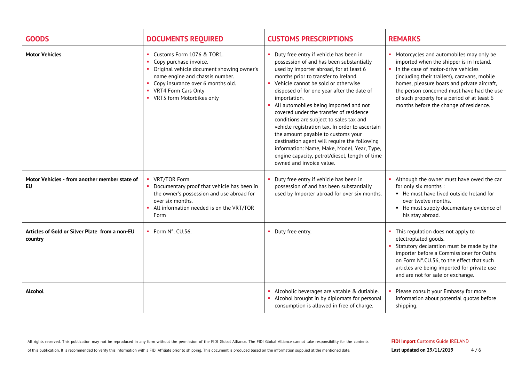| <b>GOODS</b>                                               | <b>DOCUMENTS REQUIRED</b>                                                                                                                                                                                                      | <b>CUSTOMS PRESCRIPTIONS</b>                                                                                                                                                                                                                                                                                                                                                                                                                                                                                                                                                                                                                                                         | <b>REMARKS</b>                                                                                                                                                                                                                                                                                                                                                     |
|------------------------------------------------------------|--------------------------------------------------------------------------------------------------------------------------------------------------------------------------------------------------------------------------------|--------------------------------------------------------------------------------------------------------------------------------------------------------------------------------------------------------------------------------------------------------------------------------------------------------------------------------------------------------------------------------------------------------------------------------------------------------------------------------------------------------------------------------------------------------------------------------------------------------------------------------------------------------------------------------------|--------------------------------------------------------------------------------------------------------------------------------------------------------------------------------------------------------------------------------------------------------------------------------------------------------------------------------------------------------------------|
| <b>Motor Vehicles</b>                                      | Customs Form 1076 & TOR1.<br>Copy purchase invoice.<br>Original vehicle document showing owner's<br>name engine and chassis number.<br>Copy insurance over 6 months old.<br>VRT4 Form Cars Only<br>• VRT5 form Motorbikes only | Duty free entry if vehicle has been in<br>possession of and has been substantially<br>used by importer abroad, for at least 6<br>months prior to transfer to Ireland.<br>• Vehicle cannot be sold or otherwise<br>disposed of for one year after the date of<br>importation.<br>• All automobiles being imported and not<br>covered under the transfer of residence<br>conditions are subject to sales tax and<br>vehicle registration tax. In order to ascertain<br>the amount payable to customs your<br>destination agent will require the following<br>information: Name, Make, Model, Year, Type,<br>engine capacity, petrol/diesel, length of time<br>owned and invoice value. | • Motorcycles and automobiles may only be<br>imported when the shipper is in Ireland.<br>In the case of motor-drive vehicles<br>(including their trailers), caravans, mobile<br>homes, pleasure boats and private aircraft,<br>the person concerned must have had the use<br>of such property for a period of at least 6<br>months before the change of residence. |
| Motor Vehicles - from another member state of<br><b>EU</b> | VRT/TOR Form<br>Documentary proof that vehicle has been in<br>the owner's possession and use abroad for<br>over six months.<br>All information needed is on the VRT/TOR<br>Form                                                | Duty free entry if vehicle has been in<br>possession of and has been substantially<br>used by Importer abroad for over six months.                                                                                                                                                                                                                                                                                                                                                                                                                                                                                                                                                   | • Although the owner must have owed the car<br>for only six months :<br>• He must have lived outside Ireland for<br>over twelve months.<br>• He must supply documentary evidence of<br>his stay abroad.                                                                                                                                                            |
| Articles of Gold or Silver Plate from a non-EU<br>country  | • Form N°. CU.56.                                                                                                                                                                                                              | • Duty free entry.                                                                                                                                                                                                                                                                                                                                                                                                                                                                                                                                                                                                                                                                   | This regulation does not apply to<br>electroplated goods.<br>Statutory declaration must be made by the<br>importer before a Commissioner for Oaths<br>on Form N°.CU.56, to the effect that such<br>articles are being imported for private use<br>and are not for sale or exchange.                                                                                |
| Alcohol                                                    |                                                                                                                                                                                                                                | • Alcoholic beverages are vatable & dutiable.<br>• Alcohol brought in by diplomats for personal<br>consumption is allowed in free of charge.                                                                                                                                                                                                                                                                                                                                                                                                                                                                                                                                         | Please consult your Embassy for more<br>information about potential quotas before<br>shipping.                                                                                                                                                                                                                                                                     |

of this publication. It is recommended to verify this information with a FIDI Affiliate prior to shipping. This document is produced based on the information supplied at the mentioned date.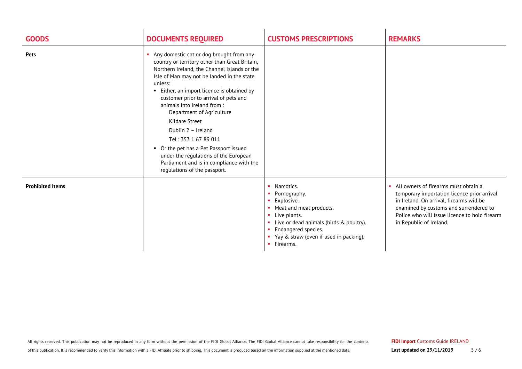| <b>GOODS</b>            | <b>DOCUMENTS REQUIRED</b>                                                                                                                                                                                                                                                                                                                                                                                                                                                                                                                                                            | <b>CUSTOMS PRESCRIPTIONS</b>                                                                                                                                                                                         | <b>REMARKS</b>                                                                                                                                                                                                                                          |
|-------------------------|--------------------------------------------------------------------------------------------------------------------------------------------------------------------------------------------------------------------------------------------------------------------------------------------------------------------------------------------------------------------------------------------------------------------------------------------------------------------------------------------------------------------------------------------------------------------------------------|----------------------------------------------------------------------------------------------------------------------------------------------------------------------------------------------------------------------|---------------------------------------------------------------------------------------------------------------------------------------------------------------------------------------------------------------------------------------------------------|
| <b>Pets</b>             | Any domestic cat or dog brought from any<br>country or territory other than Great Britain,<br>Northern Ireland, the Channel Islands or the<br>Isle of Man may not be landed in the state<br>unless:<br>• Either, an import licence is obtained by<br>customer prior to arrival of pets and<br>animals into Ireland from:<br>Department of Agriculture<br>Kildare Street<br>Dublin 2 - Ireland<br>Tel: 353 1 67 89 011<br>• Or the pet has a Pet Passport issued<br>under the regulations of the European<br>Parliament and is in compliance with the<br>regulations of the passport. |                                                                                                                                                                                                                      |                                                                                                                                                                                                                                                         |
| <b>Prohibited Items</b> |                                                                                                                                                                                                                                                                                                                                                                                                                                                                                                                                                                                      | • Narcotics.<br>Pornography.<br>Explosive.<br>• Meat and meat products.<br>Live plants.<br>• Live or dead animals (birds & poultry).<br>Endangered species.<br>• Yay & straw (even if used in packing).<br>Firearms. | • All owners of firearms must obtain a<br>temporary importation licence prior arrival<br>in Ireland. On arrival, firearms will be<br>examined by customs and surrendered to<br>Police who will issue licence to hold firearm<br>in Republic of Ireland. |